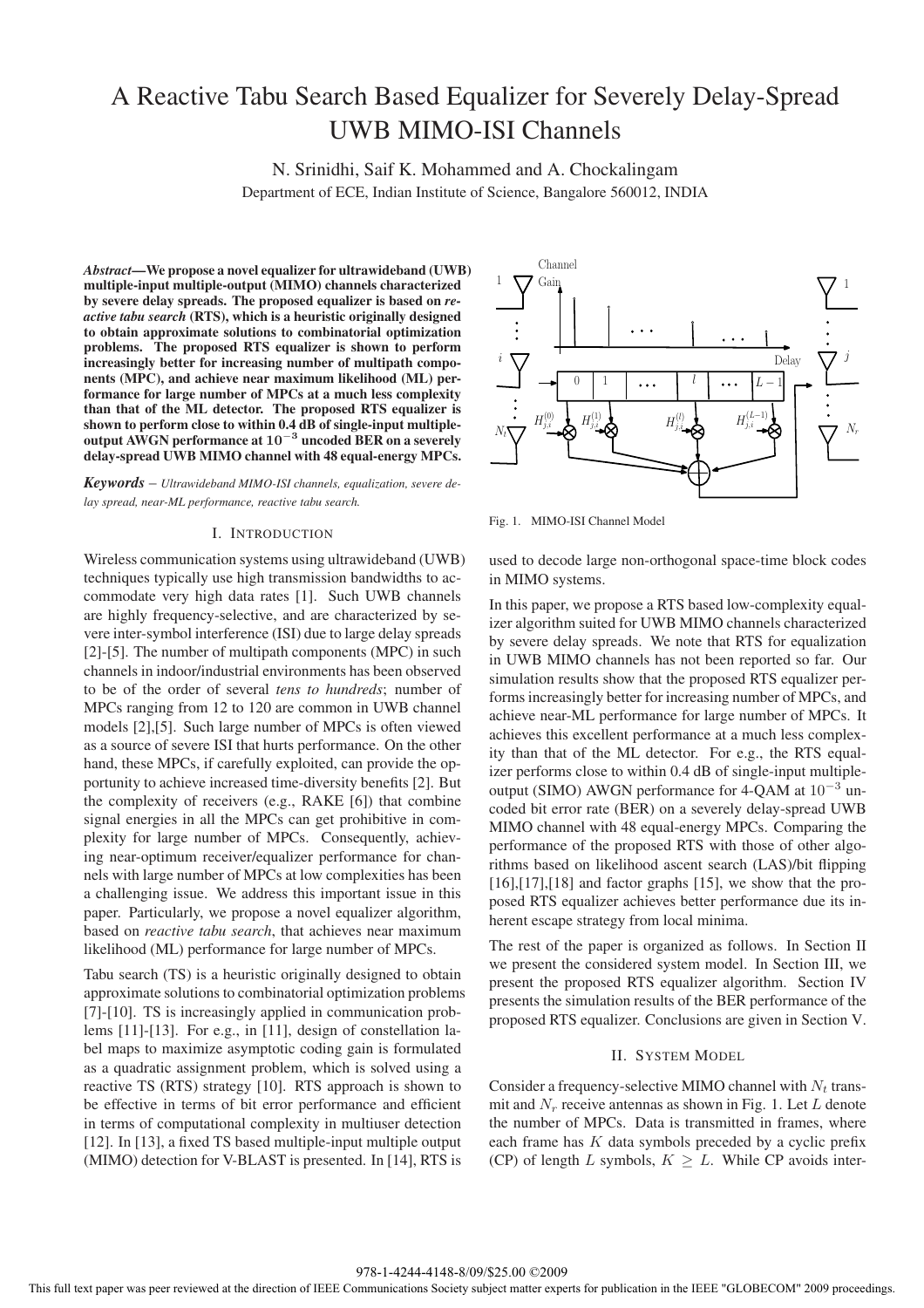# A Reactive Tabu Search Based Equalizer for Severely Delay-Spread UWB MIMO-ISI Channels

N. Srinidhi, Saif K. Mohammed and A. Chockalingam

Department of ECE, Indian Institute of Science, Bangalore 560012, INDIA

*Abstract***—We propose a novel equalizer for ultrawideband (UWB) multiple-input multiple-output (MIMO) channels characterized by severe delay spreads. The proposed equalizer is based on** *reactive tabu search* **(RTS), which is a heuristic originally designed to obtain approximate solutions to combinatorial optimization problems. The proposed RTS equalizer is shown to perform increasingly better for increasing number of multipath components (MPC), and achieve near maximum likelihood (ML) performance for large number of MPCs at a much less complexity than that of the ML detector. The proposed RTS equalizer is shown to perform close to within 0.4 dB of single-input multipleoutput AWGN performance at 10**−**<sup>3</sup> uncoded BER on a severely delay-spread UWB MIMO channel with 48 equal-energy MPCs.**

*Keywords* – *Ultrawideband MIMO-ISI channels, equalization, severe delay spread, near-ML performance, reactive tabu search.*

## I. INTRODUCTION

Wireless communication systems using ultrawideband (UWB) techniques typically use high transmission bandwidths to accommodate very high data rates [1]. Such UWB channels are highly frequency-selective, and are characterized by severe inter-symbol interference (ISI) due to large delay spreads [2]-[5]. The number of multipath components (MPC) in such channels in indoor/industrial environments has been observed to be of the order of several *tens to hundreds*; number of MPCs ranging from 12 to 120 are common in UWB channel models [2],[5]. Such large number of MPCs is often viewed as a source of severe ISI that hurts performance. On the other hand, these MPCs, if carefully exploited, can provide the opportunity to achieve increased time-diversity benefits [2]. But the complexity of receivers (e.g., RAKE [6]) that combine signal energies in all the MPCs can get prohibitive in complexity for large number of MPCs. Consequently, achieving near-optimum receiver/equalizer performance for channels with large number of MPCs at low complexities has been a challenging issue. We address this important issue in this paper. Particularly, we propose a novel equalizer algorithm, based on *reactive tabu search*, that achieves near maximum likelihood (ML) performance for large number of MPCs.

Tabu search (TS) is a heuristic originally designed to obtain approximate solutions to combinatorial optimization problems [7]-[10]. TS is increasingly applied in communication problems [11]-[13]. For e.g., in [11], design of constellation label maps to maximize asymptotic coding gain is formulated as a quadratic assignment problem, which is solved using a reactive TS (RTS) strategy [10]. RTS approach is shown to be effective in terms of bit error performance and efficient in terms of computational complexity in multiuser detection [12]. In [13], a fixed TS based multiple-input multiple output (MIMO) detection for V-BLAST is presented. In [14], RTS is



Fig. 1. MIMO-ISI Channel Model

used to decode large non-orthogonal space-time block codes in MIMO systems.

In this paper, we propose a RTS based low-complexity equalizer algorithm suited for UWB MIMO channels characterized by severe delay spreads. We note that RTS for equalization in UWB MIMO channels has not been reported so far. Our simulation results show that the proposed RTS equalizer performs increasingly better for increasing number of MPCs, and achieve near-ML performance for large number of MPCs. It achieves this excellent performance at a much less complexity than that of the ML detector. For e.g., the RTS equalizer performs close to within 0.4 dB of single-input multipleoutput (SIMO) AWGN performance for 4-QAM at  $10^{-3}$  uncoded bit error rate (BER) on a severely delay-spread UWB MIMO channel with 48 equal-energy MPCs. Comparing the performance of the proposed RTS with those of other algorithms based on likelihood ascent search (LAS)/bit flipping  $[16]$ , $[17]$ , $[18]$  and factor graphs  $[15]$ , we show that the proposed RTS equalizer achieves better performance due its inherent escape strategy from local minima.

The rest of the paper is organized as follows. In Section II we present the considered system model. In Section III, we present the proposed RTS equalizer algorithm. Section IV presents the simulation results of the BER performance of the proposed RTS equalizer. Conclusions are given in Section V.

## II. SYSTEM MODEL

Consider a frequency-selective MIMO channel with  $N_t$  transmit and  $N_r$  receive antennas as shown in Fig. 1. Let  $L$  denote the number of MPCs. Data is transmitted in frames, where each frame has  $K$  data symbols preceded by a cyclic prefix (CP) of length L symbols,  $K \geq L$ . While CP avoids inter-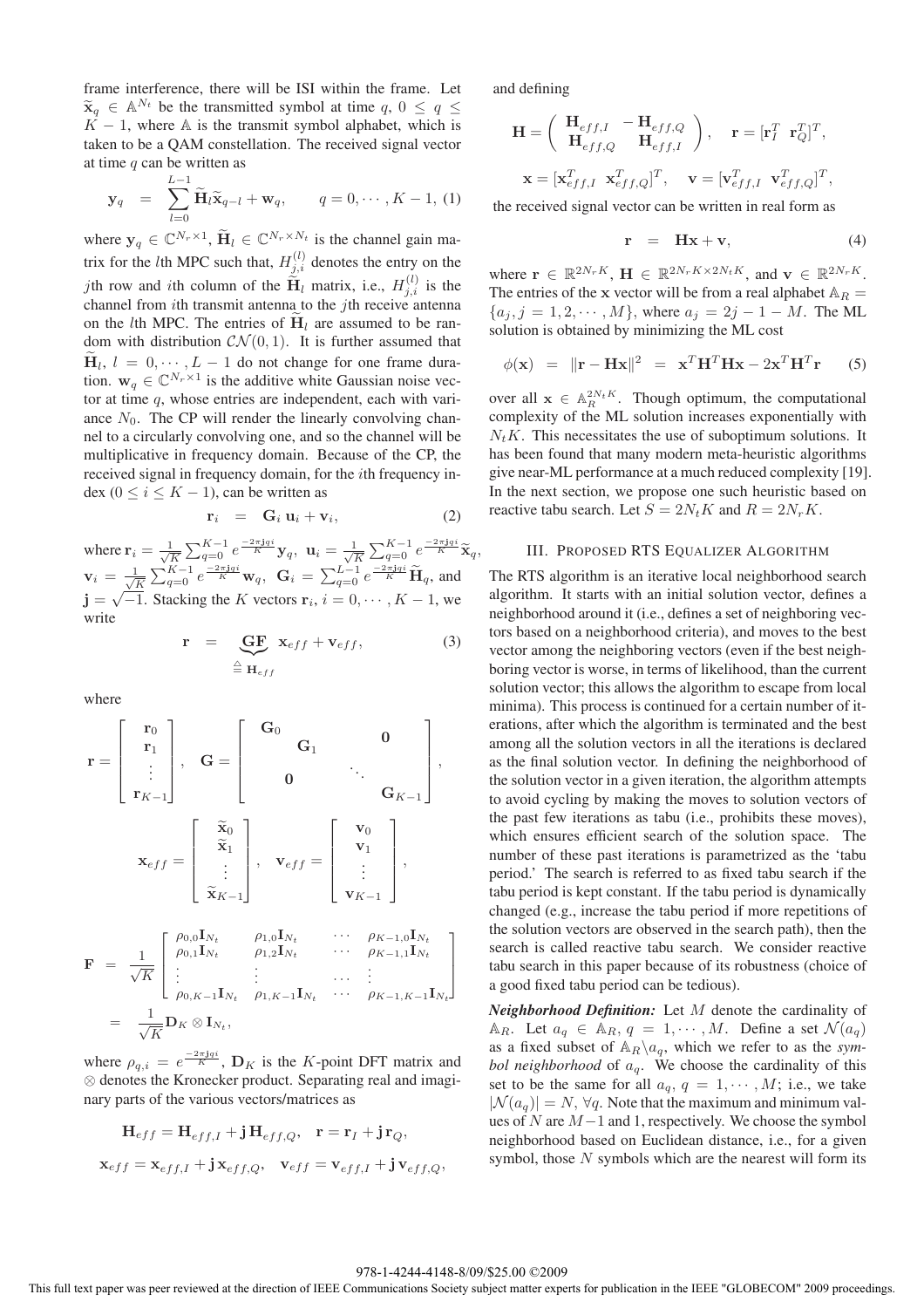frame interference, there will be ISI within the frame. Let  $X_q \nightharpoonup K - 1$ , where A is the transmit symbol alphabet, which is  $\widetilde{\mathbf{x}}_q \in \mathbb{A}^{N_t}$  be the transmitted symbol at time  $q, 0 \leq q \leq$ taken to be a QAM constellation. The received signal vector at time q can be written as

$$
\mathbf{y}_q = \sum_{l=0}^{L-1} \widetilde{\mathbf{H}}_l \widetilde{\mathbf{x}}_{q-l} + \mathbf{w}_q, \qquad q = 0, \cdots, K-1, (1)
$$

where  $\mathbf{y}_q \in \mathbb{C}^{N_r \times 1}$ ,  $\widetilde{\mathbf{H}}_l \in \mathbb{C}^{N_r \times N_t}$  is the channel gain matrix for the *l*th MPC such that,  $H_{j,i}^{(l)}$  denotes the entry on the *j*th row and *i*th column of the  $\tilde{H}_l$  matrix, i.e.,  $H_{j,i}^{(l)}$  is the channel from *i*th transmit antenna to the *i*th receive antenna channel from ith transmit antenna to the jth receive antenna on the *l*th MPC. The entries of  $\mathbf{H}_l$  are assumed to be ran-<br>dom with distribution  $CN(0, 1)$ . It is further assumed that dom with distribution  $CN(0, 1)$ . It is further assumed that **H**<sub>l</sub>,  $t = 0, \dots, L - 1$  do not change for one frame duration.  $\mathbf{w}_q \in \mathbb{C}^{N_r \times 1}$  is the additive white Gaussian noise vector at time a whose entries are independent each with vari- $\mathbf{H}_l, l = 0, \dots, L - 1$  do not change for one frame durator at time  $q$ , whose entries are independent, each with variance  $N_0$ . The CP will render the linearly convolving channel to a circularly convolving one, and so the channel will be multiplicative in frequency domain. Because of the CP, the received signal in frequency domain, for the ith frequency index ( $0 \le i \le K - 1$ ), can be written as

$$
\mathbf{r}_i = \mathbf{G}_i \mathbf{u}_i + \mathbf{v}_i, \tag{2}
$$

where  $\mathbf{r}_i = \frac{1}{\sqrt{i}}$  $\frac{1}{\overline{K}}\sum_{q=0}^{K-1}e^{\frac{-2\pi{\bf j}qi}{K}}{\bf y}_{q},\;{\bf u}_{i}=\frac{1}{\sqrt{j}}$  $\frac{1}{\overline{K}}\sum_{q=0}^{K-1}e^{\frac{-2\pi\mathbf{j}q i}{K}}\widetilde{\mathbf{x}}_q,$  $\mathbf{v}_i = \frac{1}{\sqrt{i}}$  $\frac{1}{K} \sum_{q=0}^{K-1} e^{\frac{-2\pi j q i}{K}} \mathbf{w}_q$ ,  $\mathbf{G}_i = \sum_{q=0}^{L-1} e^{\frac{-2\pi j q i}{K}} \widetilde{\mathbf{H}}_q$ , and  $\mathbf{j} = \sqrt{-1}$ . Stacking the K vectors  $\mathbf{r}_i$ ,  $i = 0, \dots, K - 1$ , we write

$$
\mathbf{r} = \underbrace{\mathbf{G}\mathbf{F}}_{\triangleq \mathbf{H}_{eff}} \mathbf{x}_{eff} + \mathbf{v}_{eff}, \tag{3}
$$

where

$$
\mathbf{r} = \begin{bmatrix} \mathbf{r}_0 \\ \mathbf{r}_1 \\ \vdots \\ \mathbf{r}_{K-1} \end{bmatrix}, \quad \mathbf{G} = \begin{bmatrix} \mathbf{G}_0 & & & & 0 \\ & \mathbf{G}_1 & & & 0 \\ & & \ddots & & \\ & & & \mathbf{G}_{K-1} \end{bmatrix},
$$
\n
$$
\mathbf{x}_{eff} = \begin{bmatrix} \tilde{\mathbf{x}}_0 \\ \tilde{\mathbf{x}}_1 \\ \vdots \\ \tilde{\mathbf{x}}_{K-1} \end{bmatrix}, \quad \mathbf{v}_{eff} = \begin{bmatrix} \mathbf{v}_0 \\ \mathbf{v}_1 \\ \vdots \\ \mathbf{v}_{K-1} \end{bmatrix},
$$
\n
$$
\mathbf{F} = \frac{1}{\sqrt{K}} \begin{bmatrix} \rho_{0,0} \mathbf{I}_{N_t} & \rho_{1,0} \mathbf{I}_{N_t} & \cdots & \rho_{K-1,0} \mathbf{I}_{N_t} \\ \vdots & \vdots & \cdots & \vdots \\ \rho_{0,K-1} \mathbf{I}_{N_t} & \rho_{1,K-1} \mathbf{I}_{N_t} & \cdots & \rho_{K-1,K-1} \mathbf{I}_{N_t} \end{bmatrix}
$$
\n
$$
= \frac{1}{\sqrt{K}} \mathbf{D}_K \otimes \mathbf{I}_{N_t},
$$

where  $\rho_{q,i} = e^{\frac{-2\pi jq i}{K}}$ ,  $D_K$  is the K-point DFT matrix and  $\otimes$  denotes the K-pocker product. Separating real and imagi-⊗ denotes the Kronecker product. Separating real and imaginary parts of the various vectors/matrices as

$$
\mathbf{H}_{eff} = \mathbf{H}_{eff,I} + \mathbf{j} \mathbf{H}_{eff,Q}, \quad \mathbf{r} = \mathbf{r}_I + \mathbf{j} \mathbf{r}_Q,
$$
  

$$
\mathbf{x}_{eff} = \mathbf{x}_{eff,I} + \mathbf{j} \mathbf{x}_{eff,Q}, \quad \mathbf{v}_{eff} = \mathbf{v}_{eff,I} + \mathbf{j} \mathbf{v}_{eff,Q},
$$

and defining

$$
\mathbf{H} = \begin{pmatrix} \mathbf{H}_{eff,I} & -\mathbf{H}_{eff,Q} \\ \mathbf{H}_{eff,Q} & \mathbf{H}_{eff,I} \end{pmatrix}, \quad \mathbf{r} = [\mathbf{r}_I^T \ \mathbf{r}_Q^T]^T,
$$

$$
\mathbf{x} = [\mathbf{x}_{eff,I}^T \ \mathbf{x}_{eff,Q}^T]^T, \quad \mathbf{v} = [\mathbf{v}_{eff,I}^T \ \mathbf{v}_{eff,Q}^T]^T,
$$

the received signal vector can be written in real form as

$$
\mathbf{r} = \mathbf{H}\mathbf{x} + \mathbf{v}, \tag{4}
$$

where  $\mathbf{r} \in \mathbb{R}^{2N_rK}$ ,  $\mathbf{H} \in \mathbb{R}^{2N_rK \times 2N_tK}$ , and  $\mathbf{v} \in \mathbb{R}^{2N_rK}$ . The entries of the **x** vector will be from a real alphabet  $A_R =$  ${a_j, j = 1, 2, \cdots, M}$ , where  $a_j = 2j - 1 - M$ . The ML solution is obtained by minimizing the ML cost

$$
\phi(\mathbf{x}) = \|\mathbf{r} - \mathbf{H}\mathbf{x}\|^2 = \mathbf{x}^T \mathbf{H}^T \mathbf{H}\mathbf{x} - 2\mathbf{x}^T \mathbf{H}^T \mathbf{r}
$$
 (5)

over all  $\mathbf{x} \in \mathbb{A}^{2N_tK}_R$ . Though optimum, the computational complexity of the ML solution increases exponentially with  $N_tK$ . This necessitates the use of suboptimum solutions. It has been found that many modern meta-heuristic algorithms give near-ML performance at a much reduced complexity [19]. In the next section, we propose one such heuristic based on reactive tabu search. Let  $S = 2N_tK$  and  $R = 2N_rK$ .

## III. PROPOSED RTS EQUALIZER ALGORITHM

The RTS algorithm is an iterative local neighborhood search algorithm. It starts with an initial solution vector, defines a neighborhood around it (i.e., defines a set of neighboring vectors based on a neighborhood criteria), and moves to the best vector among the neighboring vectors (even if the best neighboring vector is worse, in terms of likelihood, than the current solution vector; this allows the algorithm to escape from local minima). This process is continued for a certain number of iterations, after which the algorithm is terminated and the best among all the solution vectors in all the iterations is declared as the final solution vector. In defining the neighborhood of the solution vector in a given iteration, the algorithm attempts to avoid cycling by making the moves to solution vectors of the past few iterations as tabu (i.e., prohibits these moves), which ensures efficient search of the solution space. The number of these past iterations is parametrized as the 'tabu period.' The search is referred to as fixed tabu search if the tabu period is kept constant. If the tabu period is dynamically changed (e.g., increase the tabu period if more repetitions of the solution vectors are observed in the search path), then the search is called reactive tabu search. We consider reactive tabu search in this paper because of its robustness (choice of a good fixed tabu period can be tedious).

*Neighborhood Definition:* Let M denote the cardinality of A<sub>R</sub>. Let  $a_q \in A_R$ ,  $q = 1, \dots, M$ . Define a set  $\mathcal{N}(a_q)$ as a fixed subset of  $\mathbb{A}_R \setminus \mathbb{A}_q$ , which we refer to as the *symbol neighborhood* of  $a_q$ . We choose the cardinality of this set to be the same for all  $a_q$ ,  $q = 1, \dots, M$ ; i.e., we take  $|\mathcal{N}(a_{q})| = N$ ,  $\forall q$ . Note that the maximum and minimum values of N are M−1 and 1, respectively. We choose the symbol neighborhood based on Euclidean distance, i.e., for a given symbol, those  $N$  symbols which are the nearest will form its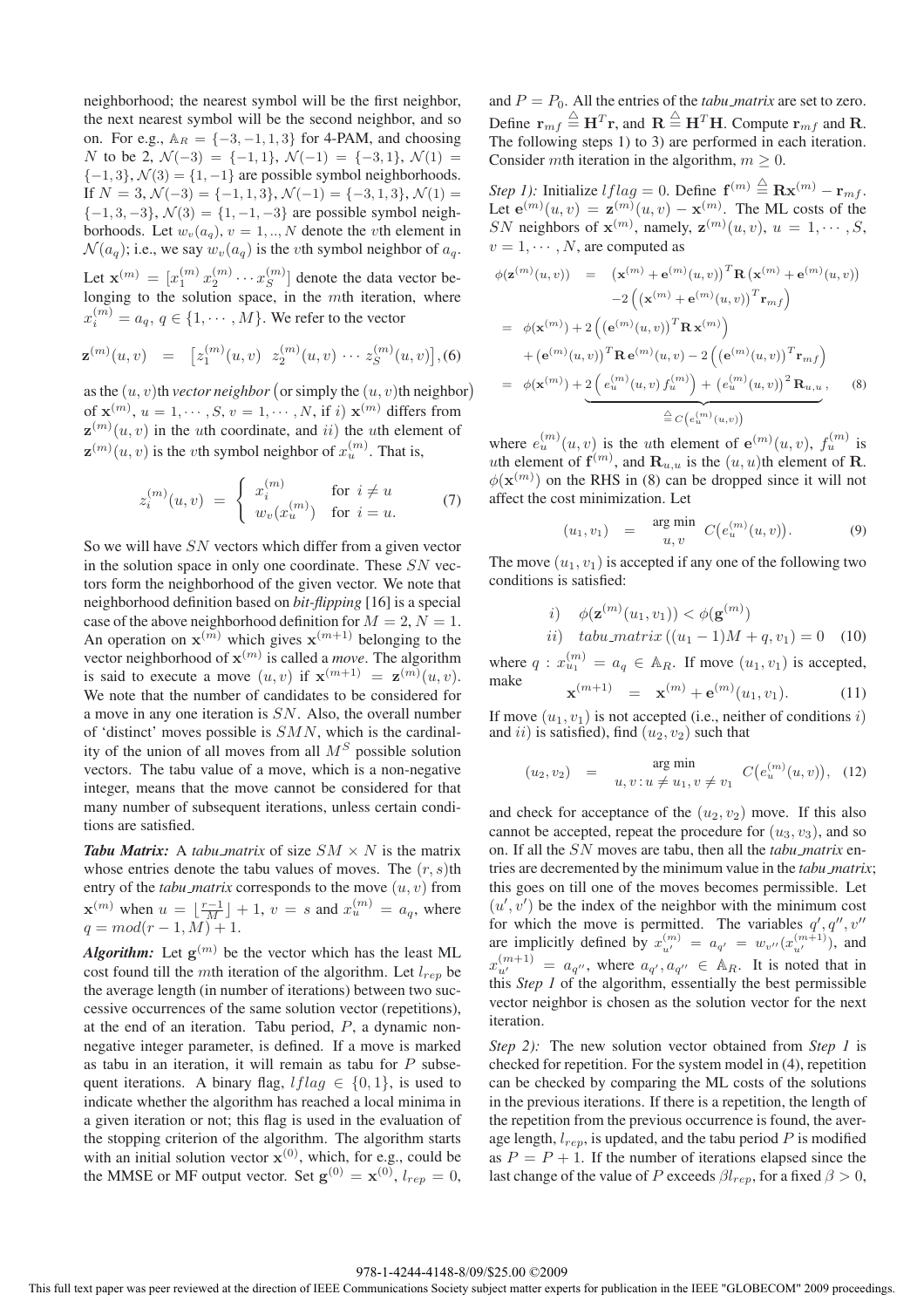neighborhood; the nearest symbol will be the first neighbor, the next nearest symbol will be the second neighbor, and so on. For e.g.,  $A_R = \{-3, -1, 1, 3\}$  for 4-PAM, and choosing N to be 2,  $\mathcal{N}(-3) = \{-1, 1\}$ ,  $\mathcal{N}(-1) = \{-3, 1\}$ ,  $\mathcal{N}(1) =$  ${-1, 3}$ ,  $\mathcal{N}(3) = {1, -1}$  are possible symbol neighborhoods. If  $N = 3, \mathcal{N}(-3) = \{-1, 1, 3\}, \mathcal{N}(-1) = \{-3, 1, 3\}, \mathcal{N}(1) =$  ${-1, 3, -3}$ ,  $\mathcal{N}(3) = {1, -1, -3}$  are possible symbol neighborhoods. Let  $w_v(a_q)$ ,  $v = 1, \ldots, N$  denote the *v*th element in  $\mathcal{N}(a_q)$ ; i.e., we say  $w_v(a_q)$  is the *v*th symbol neighbor of  $a_q$ . Let  $\mathbf{x}^{(m)} = [x_1^{(m)} \, x_2^{(m)} \cdots x_S^{(m)}]$  denote the data vector be-<br>longing to the solution space in the *m*th iteration, where longing to the solution space, in the mth iteration, where  $x_i^{(m)} = a_q, \, q \in \{1, \cdots, M\}.$  We refer to the vector

$$
\mathbf{z}^{(m)}(u,v) = [z_1^{(m)}(u,v) \ z_2^{(m)}(u,v) \ \cdots \ z_S^{(m)}(u,v)],(6)
$$

as the  $(u, v)$ <sup>th</sup> *vector neighbor* (or simply the  $(u, v)$ <sup>th</sup> neighbor) of  $\mathbf{x}^{(m)}$ ,  $u = 1, \dots, S$ ,  $v = 1, \dots, N$ , if i)  $\mathbf{x}^{(m)}$  differs from  $\mathbf{z}^{(m)}(u, v)$  in the *u*th coordinate, and *ii*) the *u*th element of  $\mathbf{z}^{(m)}(u, v)$  in the *u*th coordinate, and *ii*) the *u*th element of  $\mathbf{z}^{(m)}(u, v)$  is the *v*th symbol neighbor of  $x_u^{(m)}$ . That is,

$$
z_i^{(m)}(u,v) = \begin{cases} x_i^{(m)} & \text{for } i \neq u \\ w_v(x_u^{(m)}) & \text{for } i = u. \end{cases}
$$
 (7)

So we will have SN vectors which differ from a given vector in the solution space in only one coordinate. These  $SN$  vectors form the neighborhood of the given vector. We note that neighborhood definition based on *bit-flipping* [16] is a special case of the above neighborhood definition for  $M = 2$ ,  $N = 1$ . An operation on  $\mathbf{x}^{(m)}$  which gives  $\mathbf{x}^{(m+1)}$  belonging to the vector neighborhood of  $\mathbf{x}^{(m)}$  is called a *move*. The algorithm is said to execute a move  $(u, v)$  if  $\mathbf{x}^{(m+1)} = \mathbf{z}^{(m)}(u, v)$ .<br>We note that the number of candidates to be considered for We note that the number of candidates to be considered for a move in any one iteration is SN. Also, the overall number of 'distinct' moves possible is SMN, which is the cardinality of the union of all moves from all M*<sup>S</sup>* possible solution vectors. The tabu value of a move, which is a non-negative integer, means that the move cannot be considered for that many number of subsequent iterations, unless certain conditions are satisfied.

*Tabu Matrix:* A *tabu matrix* of size  $SM \times N$  is the matrix whose entries denote the tabu values of moves. The  $(r, s)$ th entry of the  $tabu$ *-matrix* corresponds to the move  $(u, v)$  from  $\mathbf{x}^{(m)}$  when  $u = \lfloor \frac{r-1}{M} \rfloor + 1$ ,  $v = s$  and  $x_u^{(m)} = a_q$ , where  $q = mod(r - 1, M) + 1.$ 

*Algorithm:* Let  $g^{(m)}$  be the vector which has the least ML cost found till the *mth* iteration of the algorithm. Let  $l_{rep}$  be the average length (in number of iterations) between two successive occurrences of the same solution vector (repetitions), at the end of an iteration. Tabu period, P, a dynamic nonnegative integer parameter, is defined. If a move is marked as tabu in an iteration, it will remain as tabu for  $P$  subsequent iterations. A binary flag,  $lflag \in \{0, 1\}$ , is used to indicate whether the algorithm has reached a local minima in a given iteration or not; this flag is used in the evaluation of the stopping criterion of the algorithm. The algorithm starts with an initial solution vector  $\mathbf{x}^{(0)}$ , which, for e.g., could be the MMSE or MF output vector. Set  $\mathbf{g}^{(0)} = \mathbf{x}^{(0)}$ ,  $l_{rep} = 0$ , and  $P = P_0$ . All the entries of the *tabu\_matrix* are set to zero. Define  $\mathbf{r}_{mf} \stackrel{\triangle}{=} \mathbf{H}^T \mathbf{r}$ , and  $\mathbf{R} \stackrel{\triangle}{=} \mathbf{H}^T \mathbf{H}$ . Compute  $\mathbf{r}_{mf}$  and  $\mathbf{R}$ .<br>The following steps 1) to 3) are performed in each iteration The following steps 1) to 3) are performed in each iteration. Consider mth iteration in the algorithm,  $m \geq 0$ .

*Step 1)*: Initialize  $lflag = 0$ . Define  $\mathbf{f}^{(m)} \stackrel{\triangle}{=} \mathbf{R} \mathbf{x}^{(m)} - \mathbf{r}_{mf}$ .<br>Let  $\mathbf{e}^{(m)}(u, v) = \mathbf{z}^{(m)}(u, v) - \mathbf{x}^{(m)}$ . The ML costs of the Let  $\mathbf{e}^{(m)}(u, v) = \mathbf{z}^{(m)}(u, v) - \mathbf{x}^{(m)}$ . The ML costs of the SN peighbors of  $\mathbf{x}^{(m)}$  namely  $\mathbf{z}^{(m)}(u, v)$ ,  $u = 1, \dots, S$ . SN neighbors of  $\mathbf{x}^{(m)}$ , namely,  $\mathbf{z}^{(m)}(u, v)$ ,  $u = 1, \dots, S$ ,  $v = 1, \dots, N$  are computed as  $v = 1, \cdots, N$ , are computed as

$$
\phi(\mathbf{z}^{(m)}(u,v)) = (\mathbf{x}^{(m)} + \mathbf{e}^{(m)}(u,v))^{\mathrm{T}} \mathbf{R} (\mathbf{x}^{(m)} + \mathbf{e}^{(m)}(u,v))
$$
  
\n
$$
-2 ((\mathbf{x}^{(m)} + \mathbf{e}^{(m)}(u,v))^{\mathrm{T}} \mathbf{r}_{mf})
$$
  
\n
$$
= \phi(\mathbf{x}^{(m)}) + 2 ((\mathbf{e}^{(m)}(u,v))^{\mathrm{T}} \mathbf{R} \mathbf{x}^{(m)})
$$
  
\n
$$
+ (\mathbf{e}^{(m)}(u,v))^{\mathrm{T}} \mathbf{R} \mathbf{e}^{(m)}(u,v) - 2 ((\mathbf{e}^{(m)}(u,v))^{\mathrm{T}} \mathbf{r}_{mf})
$$
  
\n
$$
= \phi(\mathbf{x}^{(m)}) + 2 (\mathbf{e}^{(m)}(u,v) f_u^{(m)}) + (\mathbf{e}^{(m)}(u,v))^2 \mathbf{R}_{u,u}, \qquad (8)
$$
  
\n
$$
\stackrel{\triangle}{=} C(\mathbf{e}^{(m)}(u,v))
$$

where  $e_u^{(m)}(u, v)$  is the *u*th element of  $e^{(m)}(u, v)$ ,  $f_u^{(m)}$  is <br>wth element of  $f^{(m)}$  and **B** is the  $(u, u)$ th element of **B** uth element of  $f^{(m)}$ , and  $\mathbf{R}_{u,u}$  is the  $(u, u)$ th element of **R**.<br>  $\phi(\mathbf{x}^{(m)})$  on the RHS in (8) can be dropped since it will not  $\phi(\mathbf{x}^{(m)})$  on the RHS in (8) can be dropped since it will not affect the cost minimization Let affect the cost minimization. Let

$$
(u_1, v_1) = \frac{\arg \min}{u, v} C(e_u^{(m)}(u, v)). \tag{9}
$$

The move  $(u_1, v_1)$  is accepted if any one of the following two conditions is satisfied:

$$
\begin{aligned}\ni) & \quad \phi(\mathbf{z}^{(m)}(u_1, v_1)) < \phi(\mathbf{g}^{(m)}) \\
ii) & \quad tabu\_matrix\left((u_1 - 1)M + q, v_1\right) = 0\n\end{aligned} \tag{10}
$$

where  $q : x_{u_1}^{(m)} = a_q \in A_R$ . If move  $(u_1, v_1)$  is accepted, make  $\mathbf{x}^{(m+1)} = \mathbf{x}^{(m)} + \mathbf{e}^{(m)}(u_1, v_1).$  (11)

If move  $(u_1, v_1)$  is not accepted (i.e., neither of conditions i) and ii) is satisfied), find  $(u_2, v_2)$  such that

$$
(u_2, v_2) = \arg\min_{u, v: u \neq u_1, v \neq v_1} C(e_u^{(m)}(u, v)), \quad (12)
$$

and check for acceptance of the  $(u_2, v_2)$  move. If this also cannot be accepted, repeat the procedure for  $(u_3, v_3)$ , and so on. If all the SN moves are tabu, then all the *tabu matrix* entries are decremented by the minimum value in the *tabu matrix*; this goes on till one of the moves becomes permissible. Let  $(u', v')$  be the index of the neighbor with the minimum cost for which the move is permitted. The variables  $q', q'', v''$ are implicitly defined by  $x_{u'}^{(m)} = a_{q'} = w_{v''}(x_{u'}^{(m+1)})$ , and  $x_{u'}^{(m+1)} = a_{q''}$ , where  $a_{q'}$ ,  $a_{q''} \in A_R$ . It is noted that in this *Step 1* of the algorithm, essentially the best permissible vector neighbor is chosen as the solution vector for the next iteration.

*Step 2):* The new solution vector obtained from *Step 1* is checked for repetition. For the system model in (4), repetition can be checked by comparing the ML costs of the solutions in the previous iterations. If there is a repetition, the length of the repetition from the previous occurrence is found, the average length,  $l_{rep}$ , is updated, and the tabu period  $P$  is modified as  $P = P + 1$ . If the number of iterations elapsed since the last change of the value of P exceeds  $\beta l_{rep}$ , for a fixed  $\beta > 0$ ,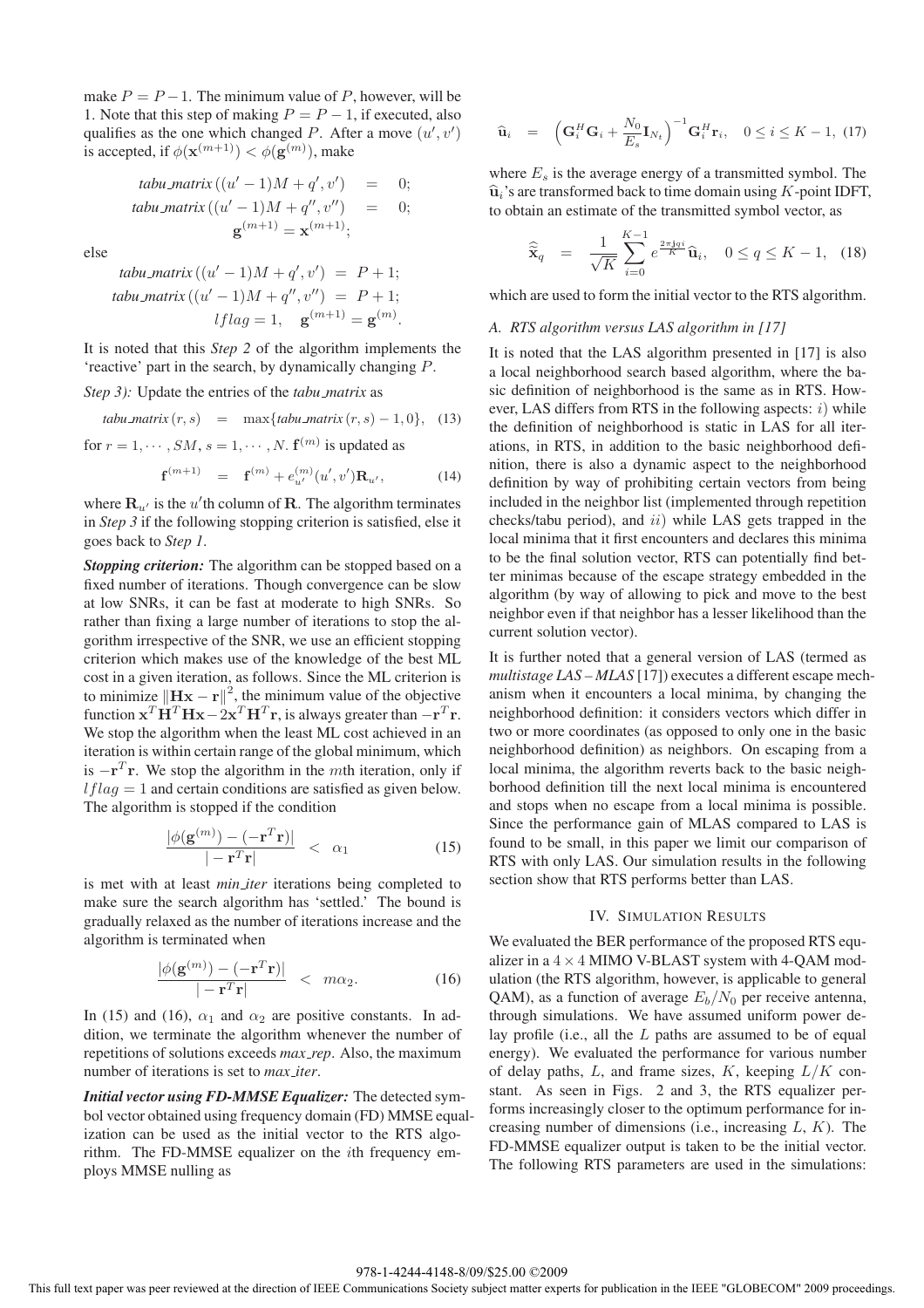make  $P = P - 1$ . The minimum value of P, however, will be 1. Note that this step of making  $P = P - 1$ , if executed, also qualifies as the one which changed P. After a move  $(u', v')$ is accepted, if  $\phi(\mathbf{x}^{(m+1)}) < \phi(\mathbf{g}^{(m)})$ , make

*tabu-matrix* 
$$
((u'-1)M + q', v')
$$
 = 0;  
\n*tabu-matrix*  $((u'-1)M + q'', v'')$  = 0;  
\n
$$
\mathbf{g}^{(m+1)} = \mathbf{x}^{(m+1)};
$$

else

*tabu-matrix* 
$$
((u'-1)M + q', v') = P + 1;
$$
  
\n*tabu-matrix*  $((u'-1)M + q'', v'') = P + 1;$   
\n*lflag* = 1,  $\mathbf{g}^{(m+1)} = \mathbf{g}^{(m)}.$ 

It is noted that this *Step 2* of the algorithm implements the 'reactive' part in the search, by dynamically changing P.

*Step 3):* Update the entries of the *tabu matrix* as

*tabu\_matrix* 
$$
(r, s)
$$
 = max{*tabu\_matrix*  $(r, s) - 1, 0$ }, (13)

for  $r = 1, \dots, SM, s = 1, \dots, N$ .  $f^{(m)}$  is updated as

$$
\mathbf{f}^{(m+1)} = \mathbf{f}^{(m)} + e_{u'}^{(m)}(u', v') \mathbf{R}_{u'}, \tag{14}
$$

where  $\mathbf{R}_u$  is the u'th column of  $\mathbf{R}$ . The algorithm terminates<br>in *Sten* 3 if the following stopping criterion is satisfied, else it in *Step 3* if the following stopping criterion is satisfied, else it goes back to *Step 1*.

*Stopping criterion:* The algorithm can be stopped based on a fixed number of iterations. Though convergence can be slow at low SNRs, it can be fast at moderate to high SNRs. So rather than fixing a large number of iterations to stop the algorithm irrespective of the SNR, we use an efficient stopping criterion which makes use of the knowledge of the best ML cost in a given iteration, as follows. Since the ML criterion is to minimize  $\|\mathbf{Hx} - \mathbf{r}\|^2$ , the minimum value of the objective<br>function  $\mathbf{x}^T \mathbf{H}^T \mathbf{H} \mathbf{x} - 2\mathbf{x}^T \mathbf{H}^T \mathbf{r}$  is always greater than  $-\mathbf{r}^T \mathbf{r}$ . function  $\mathbf{x}^T \mathbf{H}^T \mathbf{H} \mathbf{x} - 2\mathbf{x}^T \mathbf{H}^T \mathbf{r}$ , is always greater than  $-\mathbf{r}^T \mathbf{r}$ .<br>We stop the algorithm when the least ML cost achieved in an We stop the algorithm when the least ML cost achieved in an iteration is within certain range of the global minimum, which is  $-\mathbf{r}^T\mathbf{r}$ . We stop the algorithm in the *mth* iteration, only if  $lflag = 1$  and certain conditions are satisfied as given below. The algorithm is stopped if the condition

$$
\frac{|\phi(\mathbf{g}^{(m)}) - (-\mathbf{r}^T \mathbf{r})|}{|\mathbf{r}^T \mathbf{r}|} < \alpha_1 \tag{15}
$$

is met with at least *min iter* iterations being completed to make sure the search algorithm has 'settled.' The bound is gradually relaxed as the number of iterations increase and the algorithm is terminated when

$$
\frac{|\phi(\mathbf{g}^{(m)}) - (-\mathbf{r}^T \mathbf{r})|}{|\mathbf{-r}^T \mathbf{r}|} < m\alpha_2. \tag{16}
$$

In (15) and (16),  $\alpha_1$  and  $\alpha_2$  are positive constants. In addition, we terminate the algorithm whenever the number of repetitions of solutions exceeds *max rep*. Also, the maximum number of iterations is set to *max iter*.

*Initial vector using FD-MMSE Equalizer:* The detected symbol vector obtained using frequency domain (FD) MMSE equalization can be used as the initial vector to the RTS algorithm. The FD-MMSE equalizer on the ith frequency employs MMSE nulling as

$$
\widehat{\mathbf{u}}_i = \left( \mathbf{G}_i^H \mathbf{G}_i + \frac{N_0}{E_s} \mathbf{I}_{N_t} \right)^{-1} \mathbf{G}_i^H \mathbf{r}_i, \quad 0 \le i \le K - 1, \tag{17}
$$

where E*<sup>s</sup>* is the average energy of a transmitted symbol. The  $\hat{u}$ <sup>'</sup> is are transformed back to time domain using  $K$ -point IDFT, to obtain an estimate of the transmitted symbol vector, as

$$
\widehat{\widetilde{\mathbf{x}}}_q = \frac{1}{\sqrt{K}} \sum_{i=0}^{K-1} e^{\frac{2\pi \mathbf{j} q i}{K}} \widehat{\mathbf{u}}_i, \quad 0 \le q \le K - 1, \quad (18)
$$

which are used to form the initial vector to the RTS algorithm.

## *A. RTS algorithm versus LAS algorithm in [17]*

It is noted that the LAS algorithm presented in [17] is also a local neighborhood search based algorithm, where the basic definition of neighborhood is the same as in RTS. However, LAS differs from RTS in the following aspects:  $i)$  while the definition of neighborhood is static in LAS for all iterations, in RTS, in addition to the basic neighborhood definition, there is also a dynamic aspect to the neighborhood definition by way of prohibiting certain vectors from being included in the neighbor list (implemented through repetition checks/tabu period), and  $ii)$  while LAS gets trapped in the local minima that it first encounters and declares this minima to be the final solution vector, RTS can potentially find better minimas because of the escape strategy embedded in the algorithm (by way of allowing to pick and move to the best neighbor even if that neighbor has a lesser likelihood than the current solution vector).

It is further noted that a general version of LAS (termed as *multistage LAS – MLAS* [17]) executes a different escape mechanism when it encounters a local minima, by changing the neighborhood definition: it considers vectors which differ in two or more coordinates (as opposed to only one in the basic neighborhood definition) as neighbors. On escaping from a local minima, the algorithm reverts back to the basic neighborhood definition till the next local minima is encountered and stops when no escape from a local minima is possible. Since the performance gain of MLAS compared to LAS is found to be small, in this paper we limit our comparison of RTS with only LAS. Our simulation results in the following section show that RTS performs better than LAS.

## IV. SIMULATION RESULTS

We evaluated the BER performance of the proposed RTS equalizer in a  $4 \times 4$  MIMO V-BLAST system with 4-QAM modulation (the RTS algorithm, however, is applicable to general QAM), as a function of average  $E_b/N_0$  per receive antenna, through simulations. We have assumed uniform power delay profile (i.e., all the  $L$  paths are assumed to be of equal energy). We evaluated the performance for various number of delay paths,  $L$ , and frame sizes,  $K$ , keeping  $L/K$  constant. As seen in Figs. 2 and 3, the RTS equalizer performs increasingly closer to the optimum performance for increasing number of dimensions (i.e., increasing  $L, K$ ). The FD-MMSE equalizer output is taken to be the initial vector. The following RTS parameters are used in the simulations: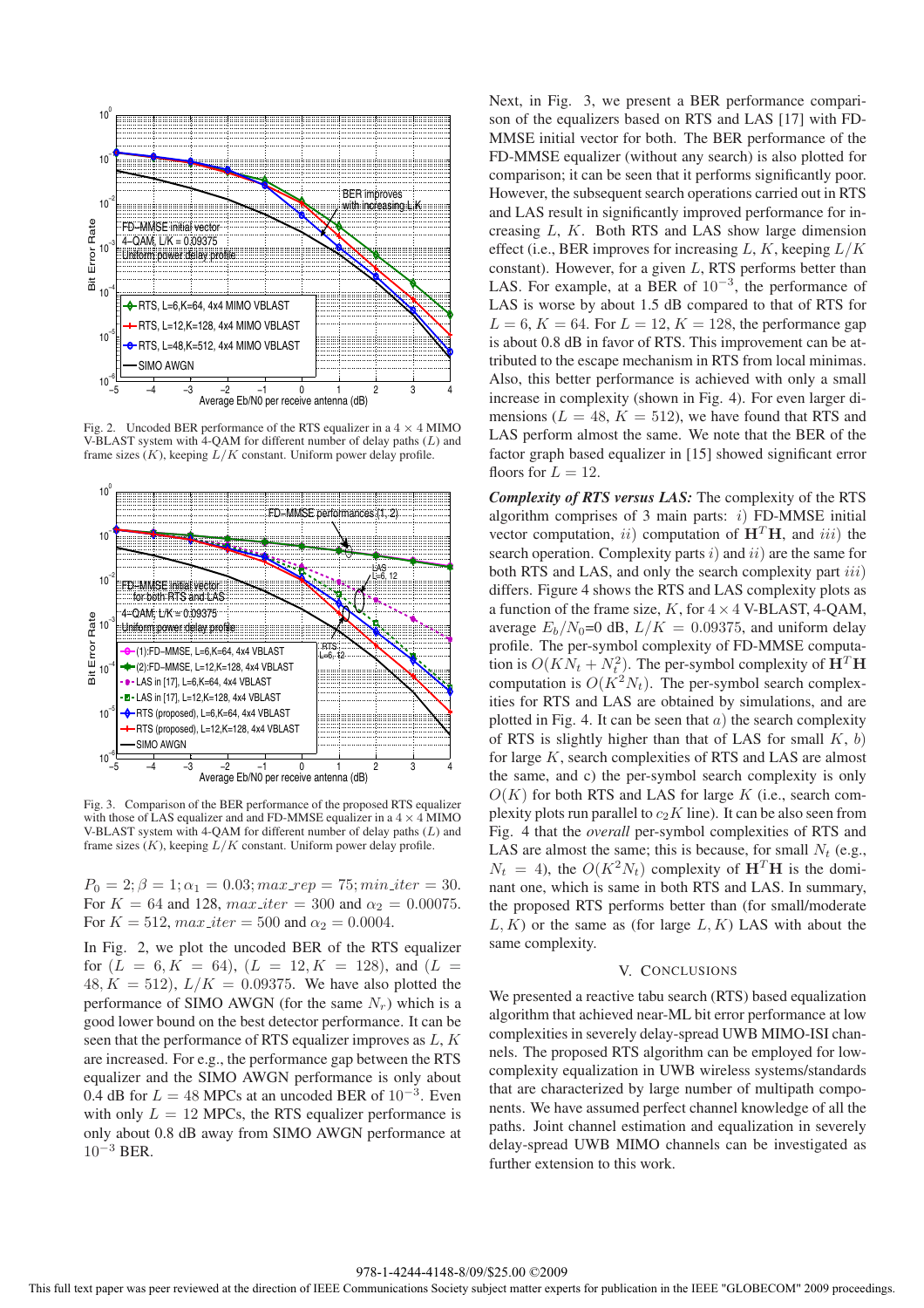

Fig. 2. Uncoded BER performance of the RTS equalizer in a  $4 \times 4$  MIMO V-BLAST system with 4-OAM for different number of delay paths  $(L)$  and frame sizes  $(K)$ , keeping  $\overline{L}/K$  constant. Uniform power delay profile.



Fig. 3. Comparison of the BER performance of the proposed RTS equalizer with those of LAS equalizer and and FD-MMSE equalizer in a 4 *×* 4 MIMO V-BLAST system with 4-QAM for different number of delay paths  $(L)$  and frame sizes  $(K)$ , keeping  $L/K$  constant. Uniform power delay profile.

 $P_0 = 2; \beta = 1; \alpha_1 = 0.03; max\_rep = 75; min\_iter = 30.$ For  $K = 64$  and 128,  $max\_iter = 300$  and  $\alpha_2 = 0.00075$ . For  $K = 512$ ,  $max\_iter = 500$  and  $\alpha_2 = 0.0004$ .

In Fig. 2, we plot the uncoded BER of the RTS equalizer for  $(L = 6, K = 64)$ ,  $(L = 12, K = 128)$ , and  $(L =$ 48,  $K = 512$ ,  $L/K = 0.09375$ . We have also plotted the performance of SIMO AWGN (for the same  $N_r$ ) which is a good lower bound on the best detector performance. It can be seen that the performance of RTS equalizer improves as L, K are increased. For e.g., the performance gap between the RTS equalizer and the SIMO AWGN performance is only about 0.4 dB for  $L = 48$  MPCs at an uncoded BER of  $10^{-3}$ . Even with only  $L = 12$  MPCs, the RTS equalizer performance is only about 0.8 dB away from SIMO AWGN performance at  $10^{-3}$  BER.

Next, in Fig. 3, we present a BER performance comparison of the equalizers based on RTS and LAS [17] with FD-MMSE initial vector for both. The BER performance of the FD-MMSE equalizer (without any search) is also plotted for comparison; it can be seen that it performs significantly poor. However, the subsequent search operations carried out in RTS and LAS result in significantly improved performance for increasing L, K. Both RTS and LAS show large dimension effect (i.e., BER improves for increasing  $L, K$ , keeping  $L/K$ constant). However, for a given  $L$ , RTS performs better than LAS. For example, at a BER of  $10^{-3}$ , the performance of LAS is worse by about 1.5 dB compared to that of RTS for  $L = 6$ ,  $K = 64$ . For  $L = 12$ ,  $K = 128$ , the performance gap is about 0.8 dB in favor of RTS. This improvement can be attributed to the escape mechanism in RTS from local minimas. Also, this better performance is achieved with only a small increase in complexity (shown in Fig. 4). For even larger dimensions ( $L = 48$ ,  $K = 512$ ), we have found that RTS and LAS perform almost the same. We note that the BER of the factor graph based equalizer in [15] showed significant error floors for  $L = 12$ .

*Complexity of RTS versus LAS:* The complexity of the RTS algorithm comprises of 3 main parts:  $i$ ) FD-MMSE initial vector computation, *ii*) computation of  $\mathbf{H}^T\mathbf{H}$ , and *iii*) the search operation. Complexity parts  $i$ ) and  $ii$ ) are the same for both RTS and LAS, and only the search complexity part  $iii)$ differs. Figure 4 shows the RTS and LAS complexity plots as a function of the frame size,  $K$ , for  $4 \times 4$  V-BLAST, 4-QAM, average  $E_b/N_0=0$  dB,  $L/K = 0.09375$ , and uniform delay profile. The per-symbol complexity of FD-MMSE computation is  $O(KN_t + N_t^2)$ . The per-symbol complexity of  $\mathbf{H}^T \mathbf{H}$ <br>computation is  $O(K^2 N_t)$ . The per-symbol search complexcomputation is  $O(K^2N_t)$ . The per-symbol search complexities for RTS and LAS are obtained by simulations, and are plotted in Fig. 4. It can be seen that  $a$ ) the search complexity of RTS is slightly higher than that of LAS for small  $K$ ,  $b$ ) for large K, search complexities of RTS and LAS are almost the same, and c) the per-symbol search complexity is only  $O(K)$  for both RTS and LAS for large K (i.e., search complexity plots run parallel to  $c_2K$  line). It can be also seen from Fig. 4 that the *overall* per-symbol complexities of RTS and LAS are almost the same; this is because, for small  $N_t$  (e.g.,  $N_t = 4$ ), the  $O(K^2 N_t)$  complexity of  $\mathbf{H}^T \mathbf{H}$  is the dominant one, which is same in both RTS and LAS. In summary, the proposed RTS performs better than (for small/moderate  $L, K$ ) or the same as (for large  $L, K$ ) LAS with about the same complexity.

### V. CONCLUSIONS

We presented a reactive tabu search (RTS) based equalization algorithm that achieved near-ML bit error performance at low complexities in severely delay-spread UWB MIMO-ISI channels. The proposed RTS algorithm can be employed for lowcomplexity equalization in UWB wireless systems/standards that are characterized by large number of multipath components. We have assumed perfect channel knowledge of all the paths. Joint channel estimation and equalization in severely delay-spread UWB MIMO channels can be investigated as further extension to this work.